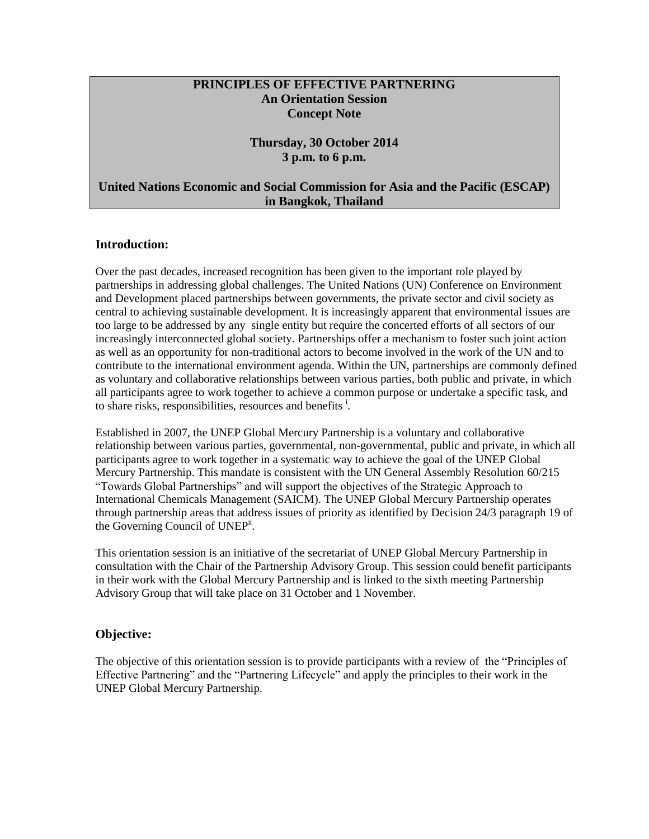### **PRINCIPLES OF EFFECTIVE PARTNERING An Orientation Session Concept Note**

#### **Thursday, 30 October 2014 3 p.m. to 6 p.m.**

### **United Nations Economic and Social Commission for Asia and the Pacific (ESCAP) in Bangkok, Thailand**

#### **Introduction:**

Over the past decades, increased recognition has been given to the important role played by partnerships in addressing global challenges. The United Nations (UN) Conference on Environment and Development placed partnerships between governments, the private sector and civil society as central to achieving sustainable development. It is increasingly apparent that environmental issues are too large to be addressed by any single entity but require the concerted efforts of all sectors of our increasingly interconnected global society. Partnerships offer a mechanism to foster such joint action as well as an opportunity for non-traditional actors to become involved in the work of the UN and to contribute to the international environment agenda. Within the UN, partnerships are commonly defined as voluntary and collaborative relationships between various parties, both public and private, in which all participants agree to work together to achieve a common purpose or undertake a specific task, and to share risks, responsibilities, resources and benefits<sup>i</sup>.

Established in 2007, the UNEP Global Mercury Partnership is a voluntary and collaborative relationship between various parties, governmental, non-governmental, public and private, in which all participants agree to work together in a systematic way to achieve the goal of the UNEP Global Mercury Partnership. This mandate is consistent with the UN General Assembly Resolution 60/215 "Towards Global Partnerships" and will support the objectives of the Strategic Approach to International Chemicals Management (SAICM). The UNEP Global Mercury Partnership operates through partnership areas that address issues of priority as identified by Decision 24/3 paragraph 19 of the Governing Council of UNEP<sup>ii</sup>.

This orientation session is an initiative of the secretariat of UNEP Global Mercury Partnership in consultation with the Chair of the Partnership Advisory Group. This session could benefit participants in their work with the Global Mercury Partnership and is linked to the sixth meeting Partnership Advisory Group that will take place on 31 October and 1 November.

### **Objective:**

The objective of this orientation session is to provide participants with a review of the "Principles of Effective Partnering" and the "Partnering Lifecycle" and apply the principles to their work in the UNEP Global Mercury Partnership.